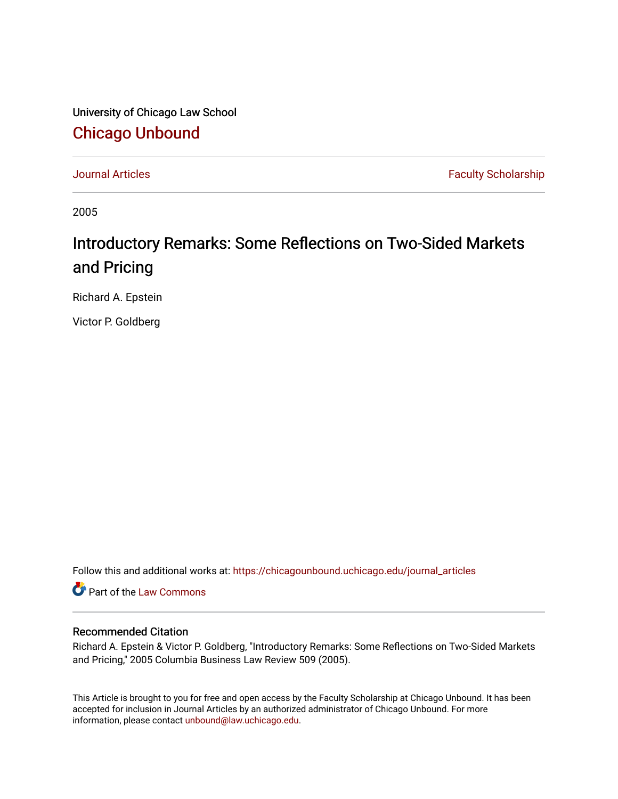University of Chicago Law School [Chicago Unbound](https://chicagounbound.uchicago.edu/)

[Journal Articles](https://chicagounbound.uchicago.edu/journal_articles) **Faculty Scholarship Journal Articles** 

2005

## Introductory Remarks: Some Reflections on Two-Sided Markets and Pricing

Richard A. Epstein

Victor P. Goldberg

Follow this and additional works at: [https://chicagounbound.uchicago.edu/journal\\_articles](https://chicagounbound.uchicago.edu/journal_articles?utm_source=chicagounbound.uchicago.edu%2Fjournal_articles%2F1338&utm_medium=PDF&utm_campaign=PDFCoverPages) 

Part of the [Law Commons](http://network.bepress.com/hgg/discipline/578?utm_source=chicagounbound.uchicago.edu%2Fjournal_articles%2F1338&utm_medium=PDF&utm_campaign=PDFCoverPages)

## Recommended Citation

Richard A. Epstein & Victor P. Goldberg, "Introductory Remarks: Some Reflections on Two-Sided Markets and Pricing," 2005 Columbia Business Law Review 509 (2005).

This Article is brought to you for free and open access by the Faculty Scholarship at Chicago Unbound. It has been accepted for inclusion in Journal Articles by an authorized administrator of Chicago Unbound. For more information, please contact [unbound@law.uchicago.edu](mailto:unbound@law.uchicago.edu).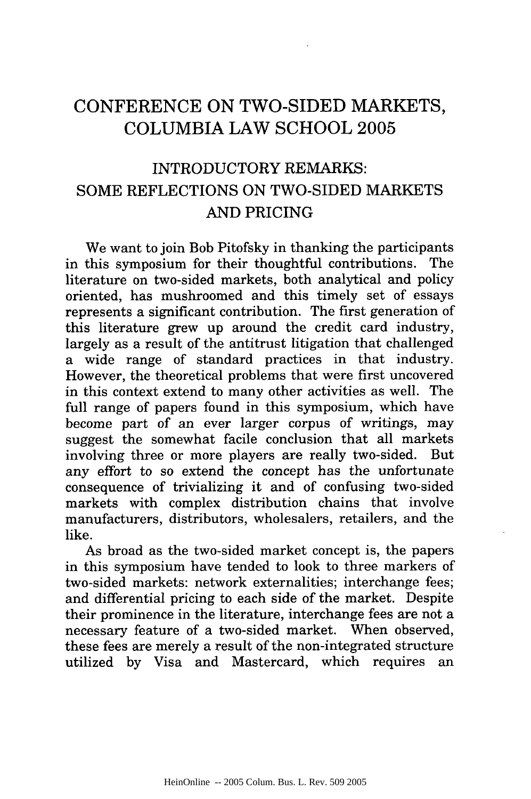## **CONFERENCE ON** TWO-SIDED MARKETS, **COLUMBIA** LAW **SCHOOL 2005**

## INTRODUCTORY REMARKS: SOME REFLECTIONS ON TWO-SIDED MARKETS AND PRICING

We want to join Bob Pitofsky in thanking the participants in this symposium for their thoughtful contributions. The literature on two-sided markets, both analytical and policy oriented, has mushroomed and this timely set of essays represents a significant contribution. The first generation of this literature grew up around the credit card industry, largely as a result of the antitrust litigation that challenged a wide range of standard practices in that industry. However, the theoretical problems that were first uncovered in this context extend to many other activities as well. The full range of papers found in this symposium, which have become part of an ever larger corpus of writings, may suggest the somewhat facile conclusion that all markets involving three or more players are really two-sided. But any effort to so extend the concept has the unfortunate consequence of trivializing it and of confusing two-sided markets with complex distribution chains that involve manufacturers, distributors, wholesalers, retailers, and the like.

As broad as the two-sided market concept is, the papers in this symposium have tended to look to three markers of two-sided markets: network externalities; interchange fees; and differential pricing to each side of the market. Despite their prominence in the literature, interchange fees are not a necessary feature of a two-sided market. When observed, these fees are merely a result of the non-integrated structure utilized by Visa and Mastercard, which requires an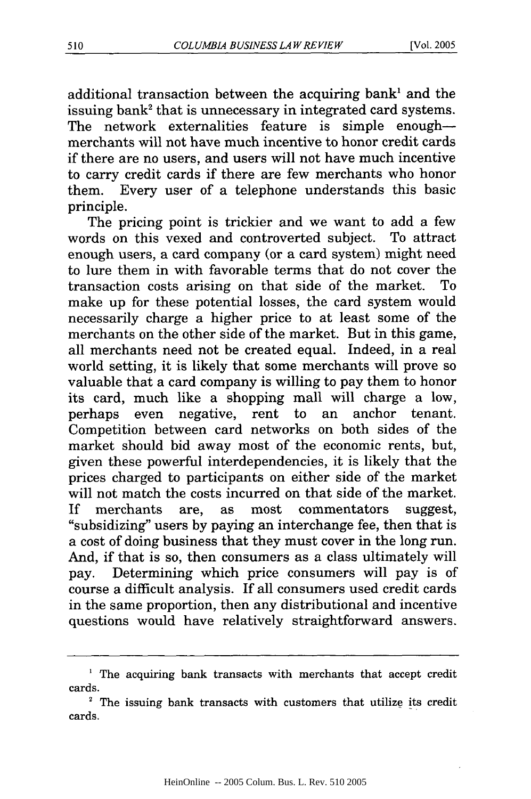additional transaction between the acquiring bank<sup>1</sup> and the issuing bank<sup>2</sup> that is unnecessary in integrated card systems. The network externalities feature is simple enoughmerchants will not have much incentive to honor credit cards if there are no users, and users will not have much incentive to carry credit cards if there are few merchants who honor them. Every user of a telephone understands this basic principle.

The pricing point is trickier and we want to add a few words on this vexed and controverted subject. To attract enough users, a card company (or a card system) might need to lure them in with favorable terms that do not cover the transaction costs arising on that side of the market. To make up for these potential losses, the card system would necessarily charge a higher price to at least some of the merchants on the other side of the market. But in this game, all merchants need not be created equal. Indeed, in a real world setting, it is likely that some merchants will prove so valuable that a card company is willing to pay them to honor its card, much like a shopping mall will charge a low, perhaps even negative, rent to an anchor tenant. Competition between card networks on both sides of the market should bid away most of the economic rents, but, given these powerful interdependencies, it is likely that the prices charged to participants on either side of the market will not match the costs incurred on that side of the market. If merchants are, as most commentators suggest, "subsidizing" users by paying an interchange fee, then that is a cost of doing business that they must cover in the long run. And, if that is so, then consumers as a class ultimately will pay. Determining which price consumers will pay is of course a difficult analysis. If all consumers used credit cards in the same proportion, then any distributional and incentive questions would have relatively straightforward answers.

**<sup>1</sup>** The acquiring bank transacts with merchants that accept credit cards.

**<sup>2</sup>**The issuing bank transacts with customers that utilize its credit cards.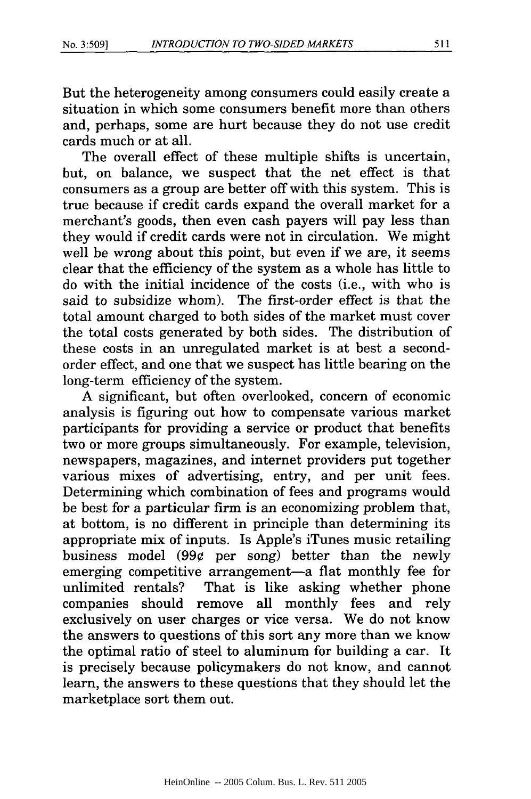But the heterogeneity among consumers could easily create a situation in which some consumers benefit more than others and, perhaps, some are hurt because they do not use credit cards much or at all.

The overall effect of these multiple shifts is uncertain, but, on balance, we suspect that the net effect is that consumers as a group are better off with this system. This is true because if credit cards expand the overall market for a merchant's goods, then even cash payers will pay less than they would if credit cards were not in circulation. We might well be wrong about this point, but even if we are, it seems clear that the efficiency of the system as a whole has little to do with the initial incidence of the costs (i.e., with who is said to subsidize whom). The first-order effect is that the total amount charged to both sides of the market must cover the total costs generated by both sides. The distribution of these costs in an unregulated market is at best a secondorder effect, and one that we suspect has little bearing on the long-term efficiency of the system.

A significant, but often overlooked, concern of economic analysis is figuring out how to compensate various market participants for providing a service or product that benefits two or more groups simultaneously. For example, television, newspapers, magazines, and internet providers put together various mixes of advertising, entry, and per unit fees. Determining which combination of fees and programs would be best for a particular firm is an economizing problem that, at bottom, is no different in principle than determining its appropriate mix of inputs. Is Apple's iTunes music retailing business model  $(99¢$  per song) better than the newly emerging competitive arrangement—a flat monthly fee for unlimited rentals? That is like asking whether phone companies should remove all monthly fees and rely exclusively on user charges or vice versa. We do not know the answers to questions of this sort any more than we know the optimal ratio of steel to aluminum for building a car. It is precisely because policymakers do not know, and cannot learn, the answers to these questions that they should let the marketplace sort them out.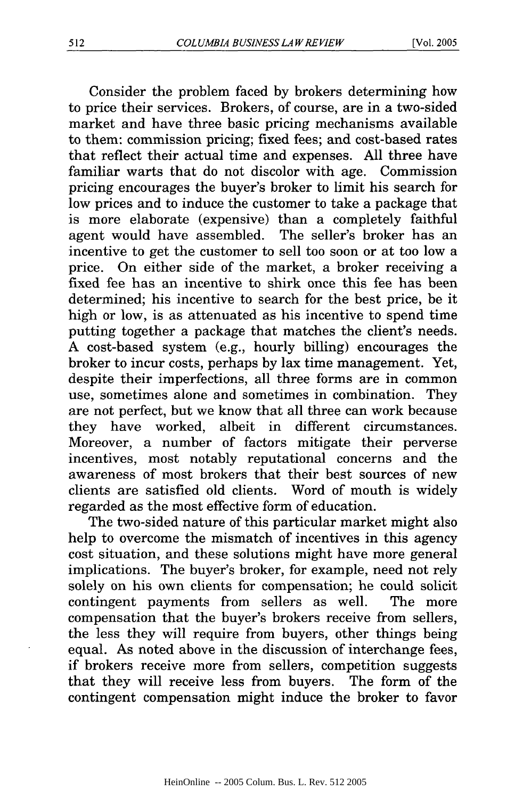Consider the problem faced by brokers determining how to price their services. Brokers, of course, are in a two-sided market and have three basic pricing mechanisms available to them: commission pricing; fixed fees; and cost-based rates that reflect their actual time and expenses. All three have familiar warts that do not discolor with age. Commission pricing encourages the buyer's broker to limit his search for low prices and to induce the customer to take a package that is more elaborate (expensive) than a completely faithful agent would have assembled. The seller's broker has an incentive to get the customer to sell too soon or at too low a price. On either side of the market, a broker receiving a fixed fee has an incentive to shirk once this fee has been determined; his incentive to search for the best price, be it high or low, is as attenuated as his incentive to spend time putting together a package that matches the client's needs. A cost-based system (e.g., hourly billing) encourages the broker to incur costs, perhaps by lax time management. Yet, despite their imperfections, all three forms are in common use, sometimes alone and sometimes in combination. They are not perfect, but we know that all three can work because they have worked, albeit in different circumstances. Moreover, a number of factors mitigate their perverse incentives, most notably reputational concerns and the awareness of most brokers that their best sources of new clients are satisfied old clients. Word of mouth is widely regarded as the most effective form of education.

The two-sided nature of this particular market might also help to overcome the mismatch of incentives in this agency cost situation, and these solutions might have more general implications. The buyer's broker, for example, need not rely solely on his own clients for compensation; he could solicit contingent payments from sellers as well. The more compensation that the buyer's brokers receive from sellers, the less they will require from buyers, other things being equal. As noted above in the discussion of interchange fees, if brokers receive more from sellers, competition suggests that they will receive less from buyers. The form of the contingent compensation might induce the broker to favor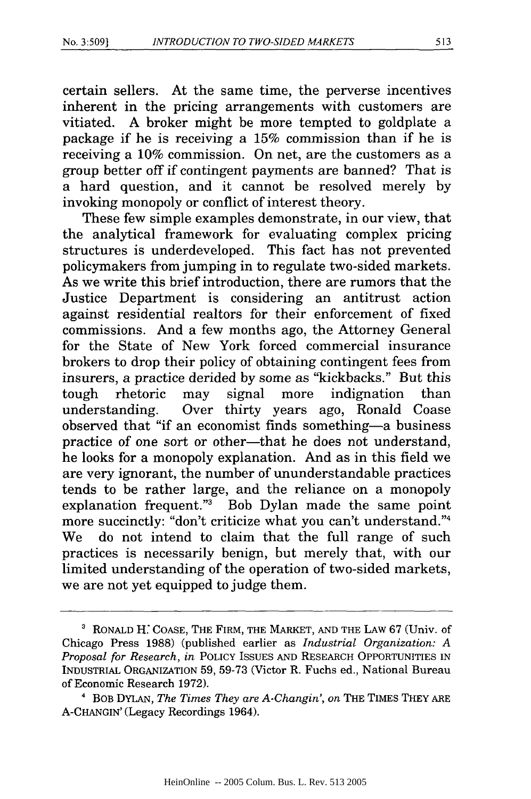certain sellers. At the same time, the perverse incentives inherent in the pricing arrangements with customers are vitiated. A broker might be more tempted to goldplate a package if he is receiving a 15% commission than if he is receiving a 10% commission. On net, are the customers as a group better off if contingent payments are banned? That is a hard question, and it cannot be resolved merely by invoking monopoly or conflict of interest theory.

These few simple examples demonstrate, in our view, that the analytical framework for evaluating complex pricing structures is underdeveloped. This fact has not prevented policymakers from jumping in to regulate two-sided markets. As we write this brief introduction, there are rumors that the Justice Department is considering an antitrust action against residential realtors for their enforcement of fixed commissions. And a few months ago, the Attorney General for the State of New York forced commercial insurance brokers to drop their policy of obtaining contingent fees from insurers, a practice derided by some as "kickbacks." But this tough rhetoric may signal more indignation than understanding. Over thirty years ago, Ronald Coase observed that "if an economist finds something-a business practice of one sort or other-that he does not understand, he looks for a monopoly explanation. And as in this field we are very ignorant, the number of ununderstandable practices tends to be rather large, and the reliance on a monopoly explanation frequent."3 Bob Dylan made the same point more succinctly: "don't criticize what you can't understand."4 We do not intend to claim that the full range of such practices is necessarily benign, but merely that, with our limited understanding of the operation of two-sided markets, we are not yet equipped to judge them.

**<sup>3</sup>**RONALD H: COASE, THE FIRM, THE MARKET, AND THE LAW 67 (Univ. of Chicago Press 1988) (published earlier as *Industrial Organization: A Proposal for Research, in* POLICY ISSUES AND RESEARCH OPPORTUNITIES IN INDUSTRIAL ORGANIZATION 59, 59-73 (Victor R. Fuchs ed., National Bureau of Economic Research 1972).

**<sup>&#</sup>x27;** BOB DYLAN, *The Times They are A-Changin', on* THE TIMES THEY ARE A-CHANGIN' (Legacy Recordings 1964).